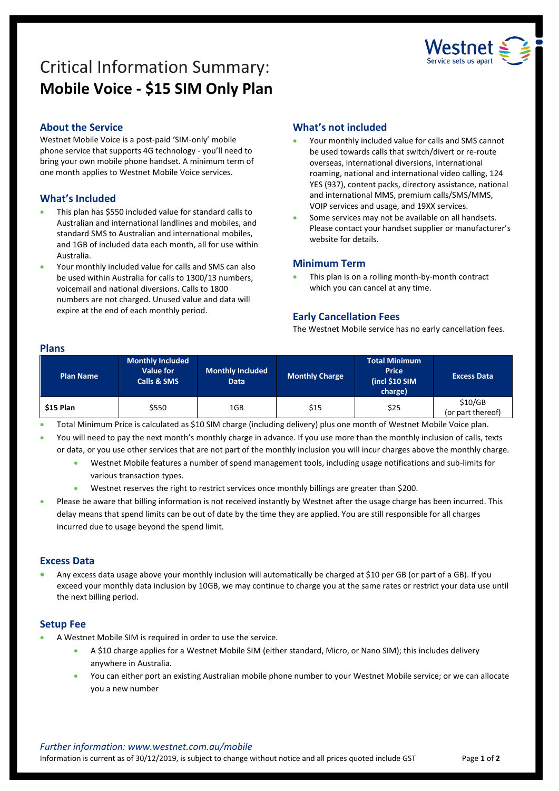# Critical Information Summary: **Mobile Voice - \$15 SIM Only Plan**



# **About the Service**

Westnet Mobile Voice is a post-paid 'SIM-only' mobile phone service that supports 4G technology - you'll need to bring your own mobile phone handset. A minimum term of one month applies to Westnet Mobile Voice services.

# **What's Included**

- This plan has \$550 included value for standard calls to Australian and international landlines and mobiles, and standard SMS to Australian and international mobiles, and 1GB of included data each month, all for use within Australia.
- Your monthly included value for calls and SMS can also be used within Australia for calls to 1300/13 numbers, voicemail and national diversions. Calls to 1800 numbers are not charged. Unused value and data will expire at the end of each monthly period.

# **What's not included**

- Your monthly included value for calls and SMS cannot be used towards calls that switch/divert or re-route overseas, international diversions, international roaming, national and international video calling, 124 YES (937), content packs, directory assistance, national and international MMS, premium calls/SMS/MMS, VOIP services and usage, and 19XX services.
- Some services may not be available on all handsets. Please contact your handset supplier or manufacturer's website for details.

#### **Minimum Term**

 This plan is on a rolling month-by-month contract which you can cancel at any time.

## **Early Cancellation Fees**

The Westnet Mobile service has no early cancellation fees.

#### **Plans**

| <b>Plan Name</b> | Monthly Included<br>Value for<br><b>Calls &amp; SMS</b> | <b>Monthly Included</b><br>Data | Monthly Charge | <b>Total Minimum</b><br><b>Price</b><br>(incl \$10 SIM<br>charge) | <b>Excess Data</b>           |
|------------------|---------------------------------------------------------|---------------------------------|----------------|-------------------------------------------------------------------|------------------------------|
| \$15 Plan        | \$550                                                   | 1GB                             | \$15           | \$25                                                              | \$10/GB<br>(or part thereof) |

Total Minimum Price is calculated as \$10 SIM charge (including delivery) plus one month of Westnet Mobile Voice plan.

 You will need to pay the next month's monthly charge in advance. If you use more than the monthly inclusion of calls, texts or data, or you use other services that are not part of the monthly inclusion you will incur charges above the monthly charge.

 Westnet Mobile features a number of spend management tools, including usage notifications and sub-limits for various transaction types.

Westnet reserves the right to restrict services once monthly billings are greater than \$200.

 Please be aware that billing information is not received instantly by Westnet after the usage charge has been incurred. This delay means that spend limits can be out of date by the time they are applied. You are still responsible for all charges incurred due to usage beyond the spend limit.

## **Excess Data**

 Any excess data usage above your monthly inclusion will automatically be charged at \$10 per GB (or part of a GB). If you exceed your monthly data inclusion by 10GB, we may continue to charge you at the same rates or restrict your data use until the next billing period.

## **Setup Fee**

- A Westnet Mobile SIM is required in order to use the service.
	- A \$10 charge applies for a Westnet Mobile SIM (either standard, Micro, or Nano SIM); this includes delivery anywhere in Australia.
	- You can either port an existing Australian mobile phone number to your Westnet Mobile service; or we can allocate you a new number